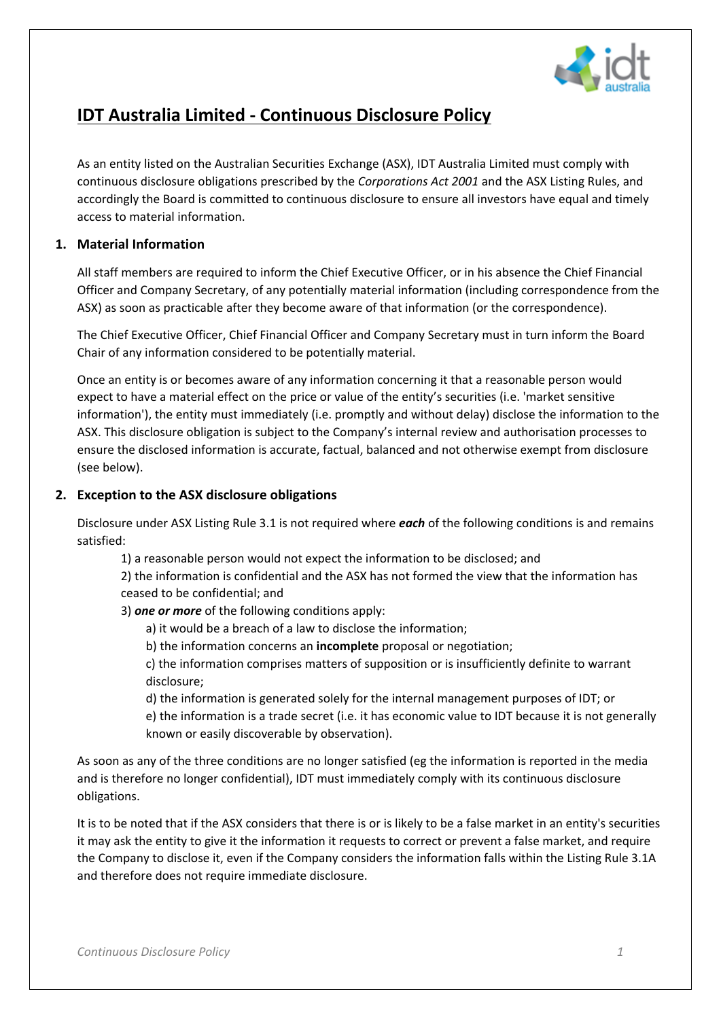

# **IDT Australia Limited - Continuous Disclosure Policy**

As an entity listed on the Australian Securities Exchange (ASX), IDT Australia Limited must comply with continuous disclosure obligations prescribed by the *Corporations Act 2001* and the ASX Listing Rules, and accordingly the Board is committed to continuous disclosure to ensure all investors have equal and timely access to material information.

## **1. Material Information**

All staff members are required to inform the Chief Executive Officer, or in his absence the Chief Financial Officer and Company Secretary, of any potentially material information (including correspondence from the ASX) as soon as practicable after they become aware of that information (or the correspondence).

The Chief Executive Officer, Chief Financial Officer and Company Secretary must in turn inform the Board Chair of any information considered to be potentially material.

Once an entity is or becomes aware of any information concerning it that a reasonable person would expect to have a material effect on the price or value of the entity's securities (i.e. 'market sensitive information'), the entity must immediately (i.e. promptly and without delay) disclose the information to the ASX. This disclosure obligation is subject to the Company's internal review and authorisation processes to ensure the disclosed information is accurate, factual, balanced and not otherwise exempt from disclosure (see below).

#### **2. Exception to the ASX disclosure obligations**

Disclosure under ASX Listing Rule 3.1 is not required where *each* of the following conditions is and remains satisfied:

1) a reasonable person would not expect the information to be disclosed; and

2) the information is confidential and the ASX has not formed the view that the information has ceased to be confidential; and

3) *one or more* of the following conditions apply:

- a) it would be a breach of a law to disclose the information;
- b) the information concerns an **incomplete** proposal or negotiation;

c) the information comprises matters of supposition or is insufficiently definite to warrant disclosure;

d) the information is generated solely for the internal management purposes of IDT; or

e) the information is a trade secret (i.e. it has economic value to IDT because it is not generally known or easily discoverable by observation).

As soon as any of the three conditions are no longer satisfied (eg the information is reported in the media and is therefore no longer confidential), IDT must immediately comply with its continuous disclosure obligations.

It is to be noted that if the ASX considers that there is or is likely to be a false market in an entity's securities it may ask the entity to give it the information it requests to correct or prevent a false market, and require the Company to disclose it, even if the Company considers the information falls within the Listing Rule 3.1A and therefore does not require immediate disclosure.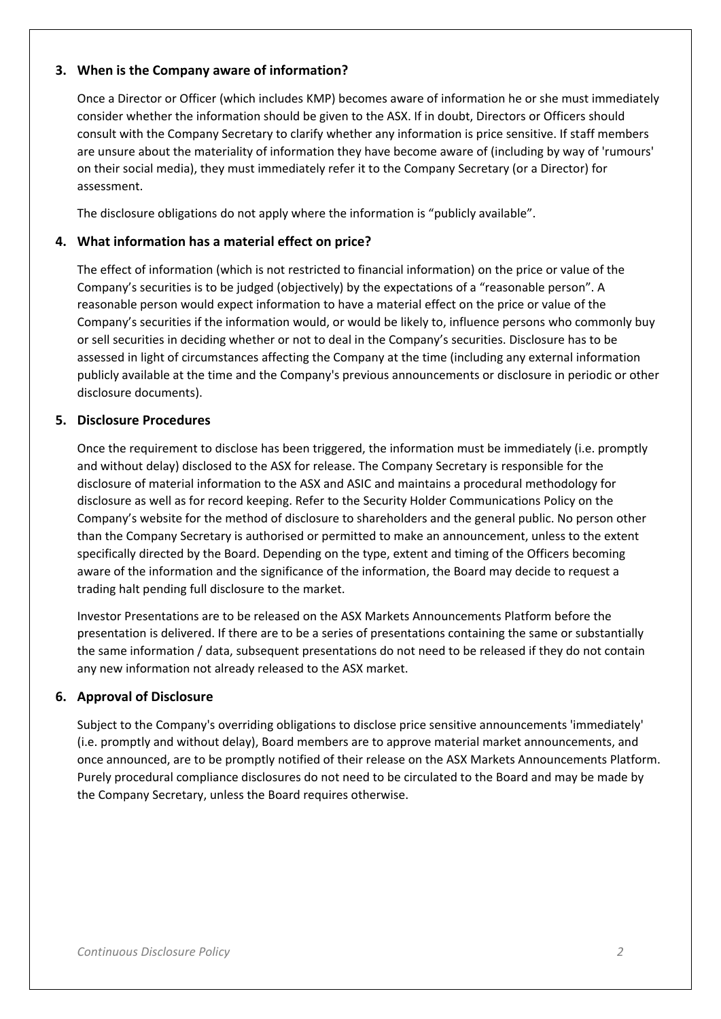## **3. When is the Company aware of information?**

Once a Director or Officer (which includes KMP) becomes aware of information he or she must immediately consider whether the information should be given to the ASX. If in doubt, Directors or Officers should consult with the Company Secretary to clarify whether any information is price sensitive. If staff members are unsure about the materiality of information they have become aware of (including by way of 'rumours' on their social media), they must immediately refer it to the Company Secretary (or a Director) for assessment.

The disclosure obligations do not apply where the information is "publicly available".

## **4. What information has a material effect on price?**

The effect of information (which is not restricted to financial information) on the price or value of the Company's securities is to be judged (objectively) by the expectations of a "reasonable person". A reasonable person would expect information to have a material effect on the price or value of the Company's securities if the information would, or would be likely to, influence persons who commonly buy or sell securities in deciding whether or not to deal in the Company's securities. Disclosure has to be assessed in light of circumstances affecting the Company at the time (including any external information publicly available at the time and the Company's previous announcements or disclosure in periodic or other disclosure documents).

#### **5. Disclosure Procedures**

Once the requirement to disclose has been triggered, the information must be immediately (i.e. promptly and without delay) disclosed to the ASX for release. The Company Secretary is responsible for the disclosure of material information to the ASX and ASIC and maintains a procedural methodology for disclosure as well as for record keeping. Refer to the Security Holder Communications Policy on the Company's website for the method of disclosure to shareholders and the general public. No person other than the Company Secretary is authorised or permitted to make an announcement, unless to the extent specifically directed by the Board. Depending on the type, extent and timing of the Officers becoming aware of the information and the significance of the information, the Board may decide to request a trading halt pending full disclosure to the market.

Investor Presentations are to be released on the ASX Markets Announcements Platform before the presentation is delivered. If there are to be a series of presentations containing the same or substantially the same information / data, subsequent presentations do not need to be released if they do not contain any new information not already released to the ASX market.

## **6. Approval of Disclosure**

Subject to the Company's overriding obligations to disclose price sensitive announcements 'immediately' (i.e. promptly and without delay), Board members are to approve material market announcements, and once announced, are to be promptly notified of their release on the ASX Markets Announcements Platform. Purely procedural compliance disclosures do not need to be circulated to the Board and may be made by the Company Secretary, unless the Board requires otherwise.